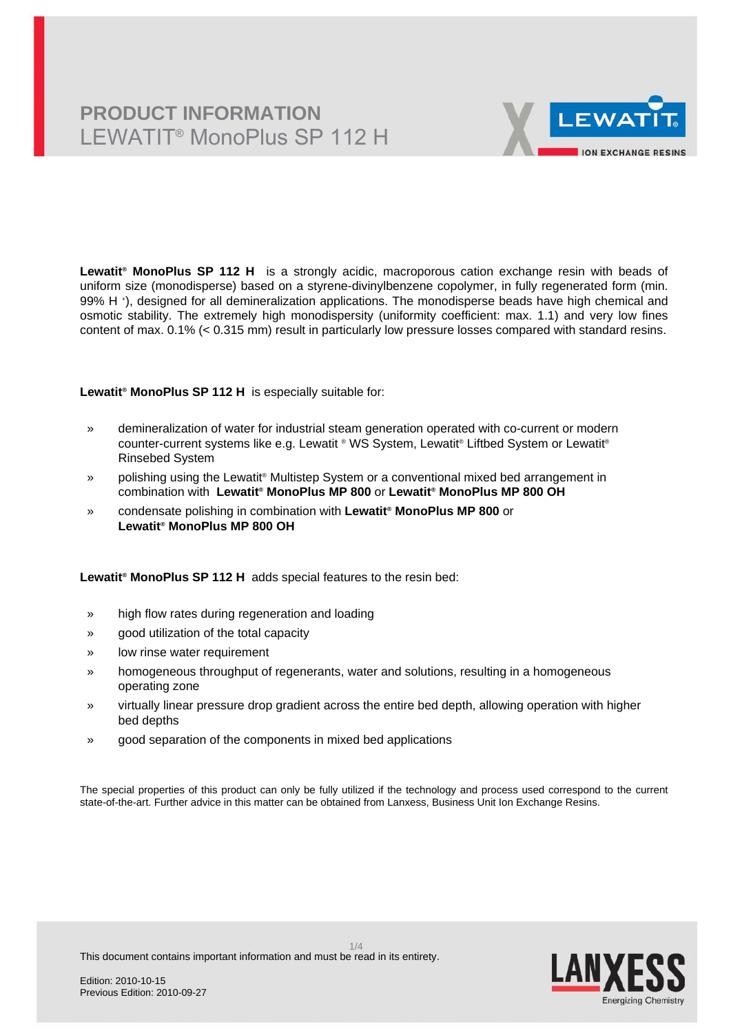# **PRODUCT INFORMATION** LEWATIT® MonoPlus SP 112 H



**Lewatit® MonoPlus SP 112 H** is a strongly acidic, macroporous cation exchange resin with beads of uniform size (monodisperse) based on a styrene-divinylbenzene copolymer, in fully regenerated form (min. 99% H <sup>+</sup> ), designed for all demineralization applications. The monodisperse beads have high chemical and osmotic stability. The extremely high monodispersity (uniformity coefficient: max. 1.1) and very low fines content of max. 0.1% (< 0.315 mm) result in particularly low pressure losses compared with standard resins.

**Lewatit® MonoPlus SP 112 H** is especially suitable for:

- » demineralization of water for industrial steam generation operated with co-current or modern counter-current systems like e.g. Lewatit ® WS System, Lewatit® Liftbed System or Lewatit® Rinsebed System
- » polishing using the Lewatit® Multistep System or a conventional mixed bed arrangement in combination with **Lewatit® MonoPlus MP 800** or **Lewatit® MonoPlus MP 800 OH**
- » condensate polishing in combination with **Lewatit® MonoPlus MP 800** or **Lewatit® MonoPlus MP 800 OH**

**Lewatit® MonoPlus SP 112 H** adds special features to the resin bed:

- » high flow rates during regeneration and loading
- » good utilization of the total capacity
- » low rinse water requirement
- » homogeneous throughput of regenerants, water and solutions, resulting in a homogeneous operating zone
- » virtually linear pressure drop gradient across the entire bed depth, allowing operation with higher bed depths
- » good separation of the components in mixed bed applications

The special properties of this product can only be fully utilized if the technology and process used correspond to the current state-of-the-art. Further advice in this matter can be obtained from Lanxess, Business Unit Ion Exchange Resins.



This document contains important information and must be read in its entirety.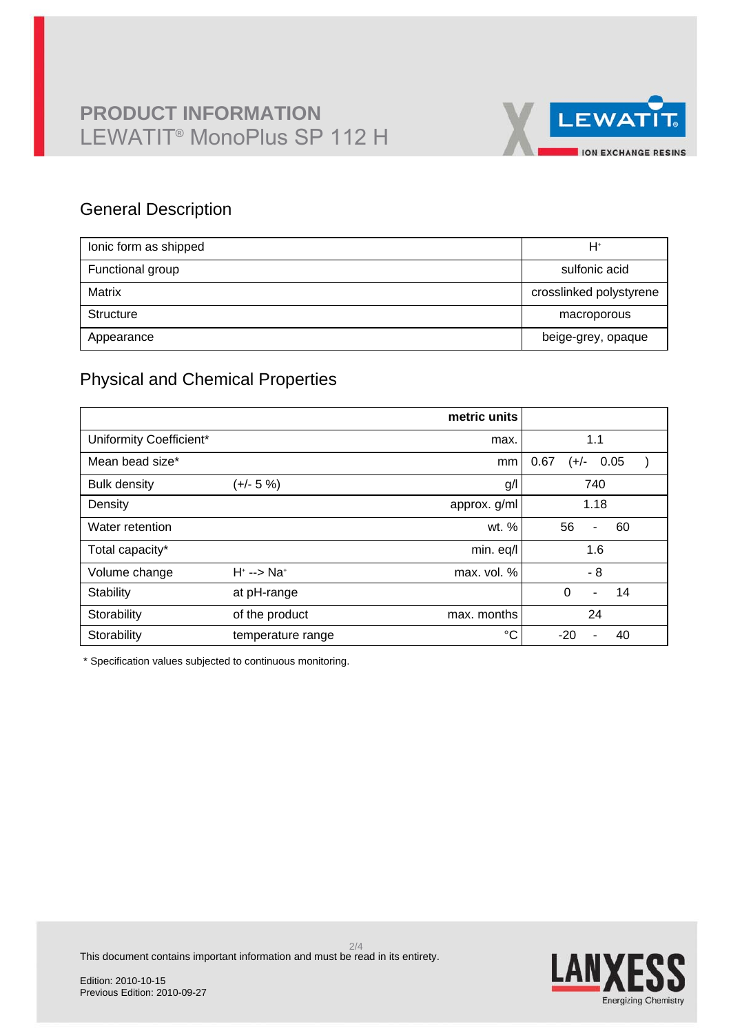

## General Description

| lonic form as shipped | H+                      |
|-----------------------|-------------------------|
| Functional group      | sulfonic acid           |
| Matrix                | crosslinked polystyrene |
| Structure             | macroporous             |
| Appearance            | beige-grey, opaque      |

## Physical and Chemical Properties

|                         |                         | metric units |                                  |
|-------------------------|-------------------------|--------------|----------------------------------|
| Uniformity Coefficient* |                         | max.         | 1.1                              |
| Mean bead size*         |                         | mm           | 0.67<br>0.05<br>(+/-             |
| <b>Bulk density</b>     | (+/- 5 %)               | g/l          | 740                              |
| Density                 |                         | approx. g/ml | 1.18                             |
| Water retention         |                         | wt. %        | 56<br>60<br>$\blacksquare$       |
| Total capacity*         |                         | min. eq/l    | 1.6                              |
| Volume change           | $H^* \rightarrow N a^*$ | max. vol. %  | $-8$                             |
| Stability               | at pH-range             |              | $\Omega$<br>14<br>$\blacksquare$ |
| Storability             | of the product          | max. months  | 24                               |
| Storability             | temperature range       | $^{\circ}C$  | $-20$<br>40<br>۰                 |

\* Specification values subjected to continuous monitoring.

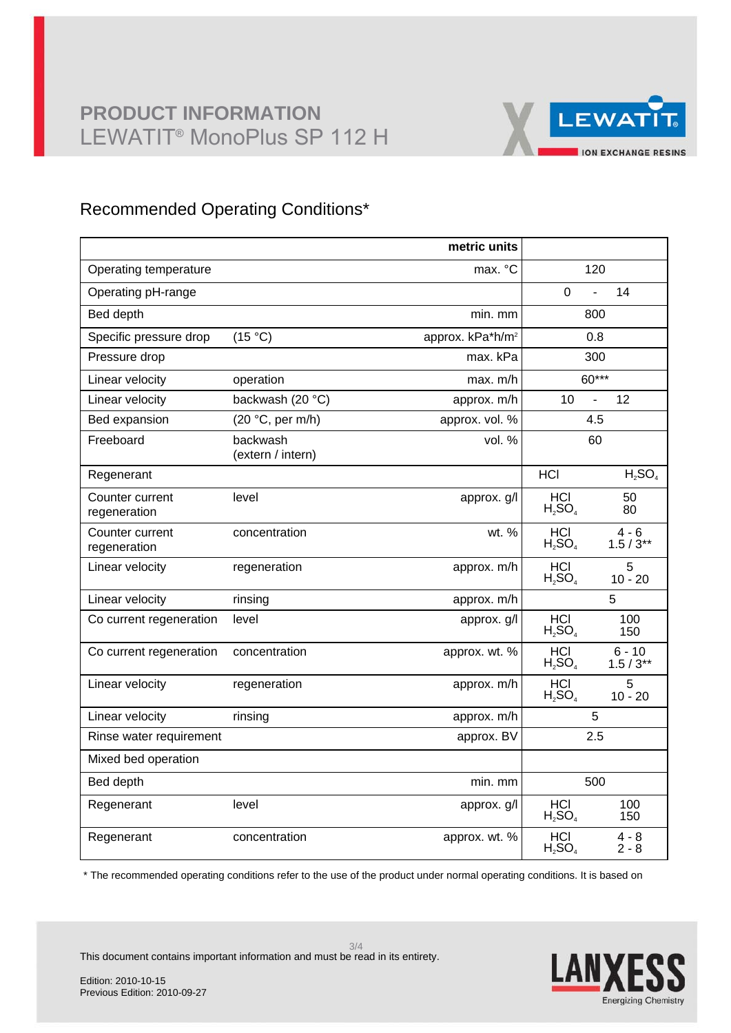

## Recommended Operating Conditions\*

|                                 |                               | metric units                 |                                             |
|---------------------------------|-------------------------------|------------------------------|---------------------------------------------|
| Operating temperature           |                               | max. °C                      | 120                                         |
| Operating pH-range              |                               |                              | $\mathbf 0$<br>14<br>$\mathbf{r}$           |
| Bed depth                       |                               | min. mm                      | 800                                         |
| Specific pressure drop          | (15 °C)                       | approx. kPa*h/m <sup>2</sup> | 0.8                                         |
| Pressure drop                   |                               | max. kPa                     | 300                                         |
| Linear velocity                 | operation                     | max. m/h                     | 60***                                       |
| Linear velocity                 | backwash (20 °C)              | approx. m/h                  | 10<br>12<br>$\overline{a}$                  |
| Bed expansion                   | (20 °C, per m/h)              | approx. vol. %               | 4.5                                         |
| Freeboard                       | backwash<br>(extern / intern) | vol. %                       | 60                                          |
| Regenerant                      |                               |                              | $H_2SO_4$<br>HCI                            |
| Counter current<br>regeneration | level                         | approx. g/l                  | HCI<br>50<br>$H_2SO_4$<br>80                |
| Counter current<br>regeneration | concentration                 | wt. %                        | $4 - 6$<br>HCI<br>$H_2SO_4$<br>$1.5/3**$    |
| Linear velocity                 | regeneration                  | approx. m/h                  | <b>HCI</b><br>5<br>$H_2SO_4$<br>$10 - 20$   |
| Linear velocity                 | rinsing                       | approx. m/h                  | 5                                           |
| Co current regeneration         | level                         | approx. g/l                  | <b>HCI</b><br>100<br>$H_2SO_4$<br>150       |
| Co current regeneration         | concentration                 | approx. wt. %                | $6 - 10$<br>HCI<br>$H_2SO_4$<br>$1.5 / 3**$ |
| Linear velocity                 | regeneration                  | approx. m/h                  | 5<br>HCI<br>$H_2SO_4$<br>$10 - 20$          |
| Linear velocity                 | rinsing                       | approx. m/h                  | 5                                           |
| Rinse water requirement         |                               | approx. BV                   | 2.5                                         |
| Mixed bed operation             |                               |                              |                                             |
| Bed depth                       |                               | min. mm                      | 500                                         |
| Regenerant                      | level                         | approx. g/l                  | HCI<br>100<br>$H_2SO_4$<br>150              |
| Regenerant                      | concentration                 | approx. wt. %                | HCI<br>$4 - 8$<br>$H_2SO_4$<br>$2 - 8$      |

\* The recommended operating conditions refer to the use of the product under normal operating conditions. It is based on



This document contains important information and must be read in its entirety.